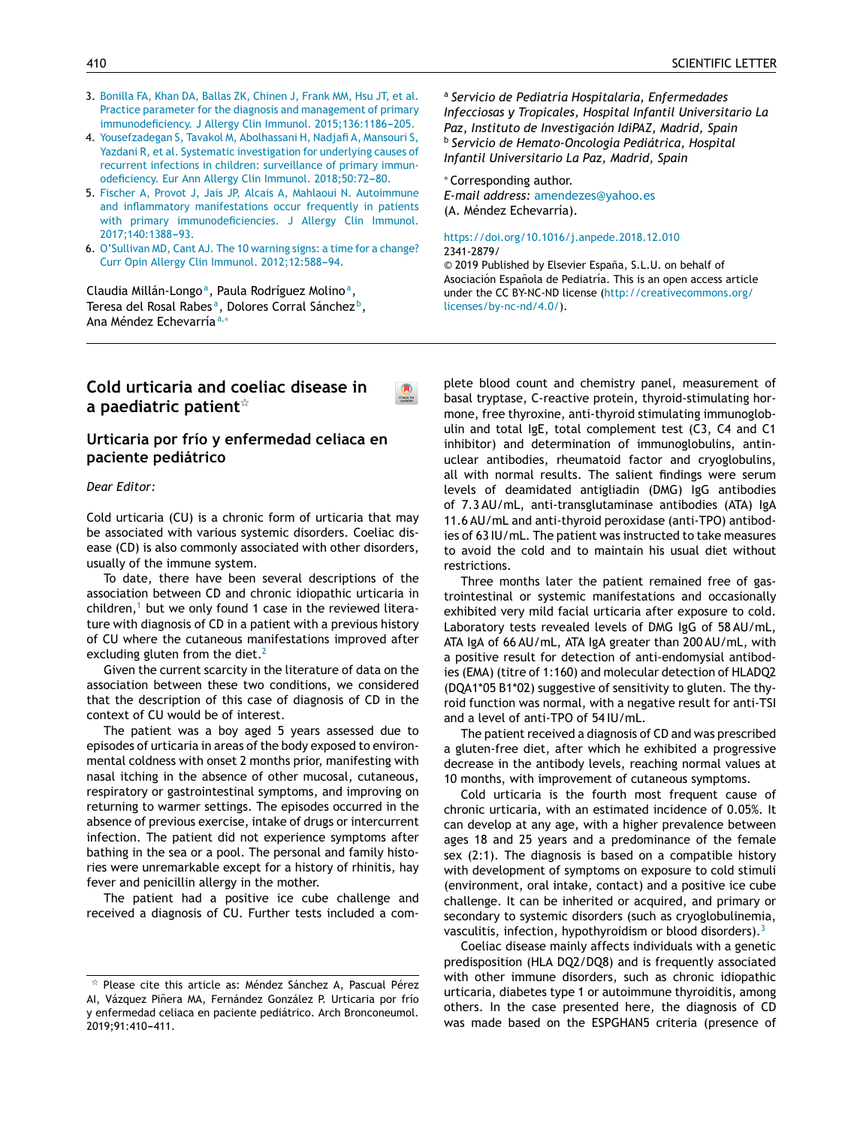- 3. [Bonilla](http://refhub.elsevier.com/S2341-2879(19)30183-8/sbref0045) [FA,](http://refhub.elsevier.com/S2341-2879(19)30183-8/sbref0045) [Khan](http://refhub.elsevier.com/S2341-2879(19)30183-8/sbref0045) [DA,](http://refhub.elsevier.com/S2341-2879(19)30183-8/sbref0045) [Ballas](http://refhub.elsevier.com/S2341-2879(19)30183-8/sbref0045) [ZK,](http://refhub.elsevier.com/S2341-2879(19)30183-8/sbref0045) [Chinen](http://refhub.elsevier.com/S2341-2879(19)30183-8/sbref0045) [J,](http://refhub.elsevier.com/S2341-2879(19)30183-8/sbref0045) [Frank](http://refhub.elsevier.com/S2341-2879(19)30183-8/sbref0045) [MM,](http://refhub.elsevier.com/S2341-2879(19)30183-8/sbref0045) [Hsu](http://refhub.elsevier.com/S2341-2879(19)30183-8/sbref0045) [JT,](http://refhub.elsevier.com/S2341-2879(19)30183-8/sbref0045) [et](http://refhub.elsevier.com/S2341-2879(19)30183-8/sbref0045) [al.](http://refhub.elsevier.com/S2341-2879(19)30183-8/sbref0045) [Practice](http://refhub.elsevier.com/S2341-2879(19)30183-8/sbref0045) [parameter](http://refhub.elsevier.com/S2341-2879(19)30183-8/sbref0045) [for](http://refhub.elsevier.com/S2341-2879(19)30183-8/sbref0045) [the](http://refhub.elsevier.com/S2341-2879(19)30183-8/sbref0045) [diagnosis](http://refhub.elsevier.com/S2341-2879(19)30183-8/sbref0045) [and](http://refhub.elsevier.com/S2341-2879(19)30183-8/sbref0045) [management](http://refhub.elsevier.com/S2341-2879(19)30183-8/sbref0045) [of](http://refhub.elsevier.com/S2341-2879(19)30183-8/sbref0045) [primary](http://refhub.elsevier.com/S2341-2879(19)30183-8/sbref0045) [immunodeficiency.](http://refhub.elsevier.com/S2341-2879(19)30183-8/sbref0045) [J](http://refhub.elsevier.com/S2341-2879(19)30183-8/sbref0045) [Allergy](http://refhub.elsevier.com/S2341-2879(19)30183-8/sbref0045) [Clin](http://refhub.elsevier.com/S2341-2879(19)30183-8/sbref0045) [Immunol.](http://refhub.elsevier.com/S2341-2879(19)30183-8/sbref0045) 2015;136:1186-205.
- 4. [Yousefzadegan](http://refhub.elsevier.com/S2341-2879(19)30183-8/sbref0050) [S,](http://refhub.elsevier.com/S2341-2879(19)30183-8/sbref0050) [Tavakol](http://refhub.elsevier.com/S2341-2879(19)30183-8/sbref0050) [M,](http://refhub.elsevier.com/S2341-2879(19)30183-8/sbref0050) [Abolhassani](http://refhub.elsevier.com/S2341-2879(19)30183-8/sbref0050) [H,](http://refhub.elsevier.com/S2341-2879(19)30183-8/sbref0050) [Nadjafi](http://refhub.elsevier.com/S2341-2879(19)30183-8/sbref0050) [A,](http://refhub.elsevier.com/S2341-2879(19)30183-8/sbref0050) [Mansouri](http://refhub.elsevier.com/S2341-2879(19)30183-8/sbref0050) [S,](http://refhub.elsevier.com/S2341-2879(19)30183-8/sbref0050) [Yazdani](http://refhub.elsevier.com/S2341-2879(19)30183-8/sbref0050) [R,](http://refhub.elsevier.com/S2341-2879(19)30183-8/sbref0050) [et](http://refhub.elsevier.com/S2341-2879(19)30183-8/sbref0050) [al.](http://refhub.elsevier.com/S2341-2879(19)30183-8/sbref0050) [Systematic](http://refhub.elsevier.com/S2341-2879(19)30183-8/sbref0050) [investigation](http://refhub.elsevier.com/S2341-2879(19)30183-8/sbref0050) [for](http://refhub.elsevier.com/S2341-2879(19)30183-8/sbref0050) [underlying](http://refhub.elsevier.com/S2341-2879(19)30183-8/sbref0050) [causes](http://refhub.elsevier.com/S2341-2879(19)30183-8/sbref0050) [of](http://refhub.elsevier.com/S2341-2879(19)30183-8/sbref0050) [recurrent](http://refhub.elsevier.com/S2341-2879(19)30183-8/sbref0050) [infections](http://refhub.elsevier.com/S2341-2879(19)30183-8/sbref0050) [in](http://refhub.elsevier.com/S2341-2879(19)30183-8/sbref0050) [children:](http://refhub.elsevier.com/S2341-2879(19)30183-8/sbref0050) [surveillance](http://refhub.elsevier.com/S2341-2879(19)30183-8/sbref0050) [of](http://refhub.elsevier.com/S2341-2879(19)30183-8/sbref0050) [primary](http://refhub.elsevier.com/S2341-2879(19)30183-8/sbref0050) [immun](http://refhub.elsevier.com/S2341-2879(19)30183-8/sbref0050)[odeficiency.](http://refhub.elsevier.com/S2341-2879(19)30183-8/sbref0050) [Eur](http://refhub.elsevier.com/S2341-2879(19)30183-8/sbref0050) [Ann](http://refhub.elsevier.com/S2341-2879(19)30183-8/sbref0050) [Allergy](http://refhub.elsevier.com/S2341-2879(19)30183-8/sbref0050) [Clin](http://refhub.elsevier.com/S2341-2879(19)30183-8/sbref0050) [Immunol.](http://refhub.elsevier.com/S2341-2879(19)30183-8/sbref0050) 2018;50:72-80.
- 5. [Fischer](http://refhub.elsevier.com/S2341-2879(19)30183-8/sbref0055) [A,](http://refhub.elsevier.com/S2341-2879(19)30183-8/sbref0055) [Provot](http://refhub.elsevier.com/S2341-2879(19)30183-8/sbref0055) [J,](http://refhub.elsevier.com/S2341-2879(19)30183-8/sbref0055) [Jais](http://refhub.elsevier.com/S2341-2879(19)30183-8/sbref0055) [JP,](http://refhub.elsevier.com/S2341-2879(19)30183-8/sbref0055) [Alcais](http://refhub.elsevier.com/S2341-2879(19)30183-8/sbref0055) [A,](http://refhub.elsevier.com/S2341-2879(19)30183-8/sbref0055) [Mahlaoui](http://refhub.elsevier.com/S2341-2879(19)30183-8/sbref0055) [N.](http://refhub.elsevier.com/S2341-2879(19)30183-8/sbref0055) [Autoimmune](http://refhub.elsevier.com/S2341-2879(19)30183-8/sbref0055) [and](http://refhub.elsevier.com/S2341-2879(19)30183-8/sbref0055) [inflammatory](http://refhub.elsevier.com/S2341-2879(19)30183-8/sbref0055) [manifestations](http://refhub.elsevier.com/S2341-2879(19)30183-8/sbref0055) [occur](http://refhub.elsevier.com/S2341-2879(19)30183-8/sbref0055) [frequently](http://refhub.elsevier.com/S2341-2879(19)30183-8/sbref0055) [in](http://refhub.elsevier.com/S2341-2879(19)30183-8/sbref0055) [patients](http://refhub.elsevier.com/S2341-2879(19)30183-8/sbref0055) [with](http://refhub.elsevier.com/S2341-2879(19)30183-8/sbref0055) [primary](http://refhub.elsevier.com/S2341-2879(19)30183-8/sbref0055) [immunodeficiencies.](http://refhub.elsevier.com/S2341-2879(19)30183-8/sbref0055) [J](http://refhub.elsevier.com/S2341-2879(19)30183-8/sbref0055) [Allergy](http://refhub.elsevier.com/S2341-2879(19)30183-8/sbref0055) [Clin](http://refhub.elsevier.com/S2341-2879(19)30183-8/sbref0055) [Immunol.](http://refhub.elsevier.com/S2341-2879(19)30183-8/sbref0055) 2017;140:1388-93.
- 6. [O'Sullivan](http://refhub.elsevier.com/S2341-2879(19)30183-8/sbref0060) [MD,](http://refhub.elsevier.com/S2341-2879(19)30183-8/sbref0060) [Cant](http://refhub.elsevier.com/S2341-2879(19)30183-8/sbref0060) [AJ.](http://refhub.elsevier.com/S2341-2879(19)30183-8/sbref0060) [The](http://refhub.elsevier.com/S2341-2879(19)30183-8/sbref0060) [10](http://refhub.elsevier.com/S2341-2879(19)30183-8/sbref0060) [warning](http://refhub.elsevier.com/S2341-2879(19)30183-8/sbref0060) [signs:](http://refhub.elsevier.com/S2341-2879(19)30183-8/sbref0060) [a](http://refhub.elsevier.com/S2341-2879(19)30183-8/sbref0060) [time](http://refhub.elsevier.com/S2341-2879(19)30183-8/sbref0060) [for](http://refhub.elsevier.com/S2341-2879(19)30183-8/sbref0060) [a](http://refhub.elsevier.com/S2341-2879(19)30183-8/sbref0060) [change?](http://refhub.elsevier.com/S2341-2879(19)30183-8/sbref0060) [Curr](http://refhub.elsevier.com/S2341-2879(19)30183-8/sbref0060) [Opin](http://refhub.elsevier.com/S2341-2879(19)30183-8/sbref0060) [Allergy](http://refhub.elsevier.com/S2341-2879(19)30183-8/sbref0060) [Clin](http://refhub.elsevier.com/S2341-2879(19)30183-8/sbref0060) [Immunol.](http://refhub.elsevier.com/S2341-2879(19)30183-8/sbref0060) [2012;12:588-](http://refhub.elsevier.com/S2341-2879(19)30183-8/sbref0060)[94.](http://refhub.elsevier.com/S2341-2879(19)30183-8/sbref0060)

Claudia Millán-Longo<sup>a</sup>, Paula Rodríguez Molino<sup>a</sup>, Teresa del Rosal Rabesª, Dolores Corral Sánchez♭, Ana Méndez Echevarría<sup>a</sup>,<sup>∗</sup>

# **Cold urticaria and coeliac disease in a paediatric patient**-

 $\circledR$ 

## **Urticaria por frío y enfermedad celiaca en paciente pediátrico**

### *Dear Editor:*

Cold urticaria (CU) is a chronic form of urticaria that may be associated with various systemic disorders. Coeliac disease (CD) is also commonly associated with other disorders, usually of the immune system.

To date, there have been several descriptions of the association between CD and chronic idiopathic urticaria in children, $<sup>1</sup>$  $<sup>1</sup>$  $<sup>1</sup>$  but we only found 1 case in the reviewed litera-</sup> ture with diagnosis of CD in a patient with a previous history of CU where the cutaneous manifestations improved after excluding gluten from the diet. $<sup>2</sup>$  $<sup>2</sup>$  $<sup>2</sup>$ </sup>

Given the current scarcity in the literature of data on the association between these two conditions, we considered that the description of this case of diagnosis of CD in the context of CU would be of interest.

The patient was a boy aged 5 years assessed due to episodes of urticaria in areas of the body exposed to environmental coldness with onset 2 months prior, manifesting with nasal itching in the absence of other mucosal, cutaneous, respiratory or gastrointestinal symptoms, and improving on returning to warmer settings. The episodes occurred in the absence of previous exercise, intake of drugs or intercurrent infection. The patient did not experience symptoms after bathing in the sea or a pool. The personal and family histories were unremarkable except for a history of rhinitis, hay fever and penicillin allergy in the mother.

The patient had a positive ice cube challenge and received a diagnosis of CU. Further tests included a com-

a *Servicio de Pediatría Hospitalaria, Enfermedades Infecciosas y Tropicales, Hospital Infantil Universitario La Paz, Instituto de Investigación IdiPAZ, Madrid, Spain* b *Servicio de Hemato-Oncología Pediátrica, Hospital Infantil Universitario La Paz, Madrid, Spain*

<sup>∗</sup> Corresponding author. *E-mail address:* [amendezes@yahoo.es](mailto:amendezes@yahoo.es) (A. Méndez Echevarría).

[https://doi.org/10.1016/j.anpede.2018.12.010](https://doi.org/10.1016/j.anpede.2019.01.017) 2341-2879/ © 2019 Published by Elsevier España, S.L.U. on behalf of Asociación Española de Pediatría. This is an open access article under the CC BY-NC-ND license [\(http://creativecommons.org/](http://creativecommons.org/licenses/by-nc-nd/4.0/) [licenses/by-nc-nd/4.0/](http://creativecommons.org/licenses/by-nc-nd/4.0/)).

plete blood count and chemistry panel, measurement of basal tryptase, C-reactive protein, thyroid-stimulating hormone, free thyroxine, anti-thyroid stimulating immunoglobulin and total IgE, total complement test (C3, C4 and C1 inhibitor) and determination of immunoglobulins, antinuclear antibodies, rheumatoid factor and cryoglobulins, all with normal results. The salient findings were serum levels of deamidated antigliadin (DMG) IgG antibodies of 7.3 AU/mL, anti-transglutaminase antibodies (ATA) IgA 11.6 AU/mL and anti-thyroid peroxidase (anti-TPO) antibodies of 63 IU/mL. The patient was instructed to take measures to avoid the cold and to maintain his usual diet without restrictions.

Three months later the patient remained free of gastrointestinal or systemic manifestations and occasionally exhibited very mild facial urticaria after exposure to cold. Laboratory tests revealed levels of DMG IgG of 58 AU/mL, ATA IgA of 66 AU/mL, ATA IgA greater than 200 AU/mL, with a positive result for detection of anti-endomysial antibodies (EMA) (titre of 1:160) and molecular detection of HLADQ2 (DQA1\*05 B1\*02) suggestive of sensitivity to gluten. The thyroid function was normal, with a negative result for anti-TSI and a level of anti-TPO of 54 IU/mL.

The patient received a diagnosis of CD and was prescribed a gluten-free diet, after which he exhibited a progressive decrease in the antibody levels, reaching normal values at 10 months, with improvement of cutaneous symptoms.

Cold urticaria is the fourth most frequent cause of chronic urticaria, with an estimated incidence of 0.05%. It can develop at any age, with a higher prevalence between ages 18 and 25 years and a predominance of the female sex (2:1). The diagnosis is based on a compatible history with development of symptoms on exposure to cold stimuli (environment, oral intake, contact) and a positive ice cube challenge. It can be inherited or acquired, and primary or secondary to systemic disorders (such as cryoglobulinemia, [vasculiti](http://refhub.elsevier.com/S2341-2879(19)30183-8/sbref0035)s, [infection,](http://refhub.elsevier.com/S2341-2879(19)30183-8/sbref0035) [hypothyroidis](http://refhub.elsevier.com/S2341-2879(19)30183-8/sbref0035)m or [blood](http://refhub.elsevier.com/S2341-2879(19)30183-8/sbref0035) [disorders\).](http://refhub.elsevier.com/S2341-2879(19)30183-8/sbref0035)[3](#page-1-0)

[Coeliac](http://refhub.elsevier.com/S2341-2879(19)30183-8/sbref0035) [dise](http://refhub.elsevier.com/S2341-2879(19)30183-8/sbref0035)ase [mainly](http://refhub.elsevier.com/S2341-2879(19)30183-8/sbref0035) [affect](http://refhub.elsevier.com/S2341-2879(19)30183-8/sbref0035)s [individuals](http://refhub.elsevier.com/S2341-2879(19)30183-8/sbref0035) with a [genet](http://refhub.elsevier.com/S2341-2879(19)30183-8/sbref0035)ic [pred](http://refhub.elsevier.com/S2341-2879(19)30183-8/sbref0035)i[spositio](http://refhub.elsevier.com/S2341-2879(19)30183-8/sbref0035)n (HLA [DQ2/DQ8](http://refhub.elsevier.com/S2341-2879(19)30183-8/sbref0035)) [and](http://refhub.elsevier.com/S2341-2879(19)30183-8/sbref0035) is [frequently](http://refhub.elsevier.com/S2341-2879(19)30183-8/sbref0035) [assoc](http://refhub.elsevier.com/S2341-2879(19)30183-8/sbref0035)i[ate](http://refhub.elsevier.com/S2341-2879(19)30183-8/sbref0035)d [with](http://refhub.elsevier.com/S2341-2879(19)30183-8/sbref0035) [other](http://refhub.elsevier.com/S2341-2879(19)30183-8/sbref0035) [immune](http://refhub.elsevier.com/S2341-2879(19)30183-8/sbref0035) di[sorder](http://refhub.elsevier.com/S2341-2879(19)30183-8/sbref0035)s, [such](http://refhub.elsevier.com/S2341-2879(19)30183-8/sbref0035) as [chronic](http://refhub.elsevier.com/S2341-2879(19)30183-8/sbref0035) [idiop](http://refhub.elsevier.com/S2341-2879(19)30183-8/sbref0035)athic [urticaria,](http://refhub.elsevier.com/S2341-2879(19)30183-8/sbref0040) d[iabetes](http://refhub.elsevier.com/S2341-2879(19)30183-8/sbref0040) [type](http://refhub.elsevier.com/S2341-2879(19)30183-8/sbref0040) 1 [o](http://refhub.elsevier.com/S2341-2879(19)30183-8/sbref0040)r [autoimmu](http://refhub.elsevier.com/S2341-2879(19)30183-8/sbref0040)ne [thyroidi](http://refhub.elsevier.com/S2341-2879(19)30183-8/sbref0040)tis, [amon](http://refhub.elsevier.com/S2341-2879(19)30183-8/sbref0040)g [others.](http://refhub.elsevier.com/S2341-2879(19)30183-8/sbref0040) I[n](http://refhub.elsevier.com/S2341-2879(19)30183-8/sbref0040) [the](http://refhub.elsevier.com/S2341-2879(19)30183-8/sbref0040) case [presented](http://refhub.elsevier.com/S2341-2879(19)30183-8/sbref0040) h[ere,](http://refhub.elsevier.com/S2341-2879(19)30183-8/sbref0040) the [diagnosis](http://refhub.elsevier.com/S2341-2879(19)30183-8/sbref0040) [of](http://refhub.elsevier.com/S2341-2879(19)30183-8/sbref0040) CD [was](http://refhub.elsevier.com/S2341-2879(19)30183-8/sbref0040) ma[de](http://refhub.elsevier.com/S2341-2879(19)30183-8/sbref0040) b[ased](http://refhub.elsevier.com/S2341-2879(19)30183-8/sbref0040) on [the](http://refhub.elsevier.com/S2341-2879(19)30183-8/sbref0040) ESP[GHAN](http://refhub.elsevier.com/S2341-2879(19)30183-8/sbref0040)5 [criter](http://refhub.elsevier.com/S2341-2879(19)30183-8/sbref0040)ia [\(presence](http://refhub.elsevier.com/S2341-2879(19)30183-8/sbref0040) of

<sup>-</sup> Please cite this article as: Méndez Sánchez A, Pascual Pérez AI, Vázquez Piñera MA, Fernández González P. Urticaria por frío y enfermedad celiaca en paciente pediátrico. Arch Bronconeumol. 2019;91:410-411.